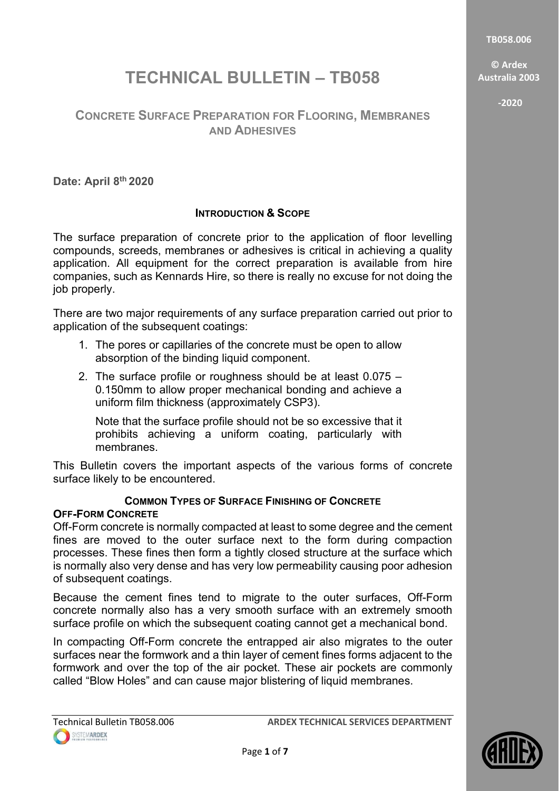**TB058.006**

**© Ardex Australia 2003**

**-2020**

# **TECHNICAL BULLETIN – TB058**

# **CONCRETE SURFACE PREPARATION FOR FLOORING, MEMBRANES AND ADHESIVES**

**Date: April 8th 2020**

# **INTRODUCTION & SCOPE**

The surface preparation of concrete prior to the application of floor levelling compounds, screeds, membranes or adhesives is critical in achieving a quality application. All equipment for the correct preparation is available from hire companies, such as Kennards Hire, so there is really no excuse for not doing the job properly.

There are two major requirements of any surface preparation carried out prior to application of the subsequent coatings:

- 1. The pores or capillaries of the concrete must be open to allow absorption of the binding liquid component.
- 2. The surface profile or roughness should be at least 0.075 0.150mm to allow proper mechanical bonding and achieve a uniform film thickness (approximately CSP3).

Note that the surface profile should not be so excessive that it prohibits achieving a uniform coating, particularly with membranes.

This Bulletin covers the important aspects of the various forms of concrete surface likely to be encountered.

# **COMMON TYPES OF SURFACE FINISHING OF CONCRETE**

# **OFF-FORM CONCRETE**

Off-Form concrete is normally compacted at least to some degree and the cement fines are moved to the outer surface next to the form during compaction processes. These fines then form a tightly closed structure at the surface which is normally also very dense and has very low permeability causing poor adhesion of subsequent coatings.

Because the cement fines tend to migrate to the outer surfaces, Off-Form concrete normally also has a very smooth surface with an extremely smooth surface profile on which the subsequent coating cannot get a mechanical bond.

In compacting Off-Form concrete the entrapped air also migrates to the outer surfaces near the formwork and a thin layer of cement fines forms adjacent to the formwork and over the top of the air pocket. These air pockets are commonly called "Blow Holes" and can cause major blistering of liquid membranes.

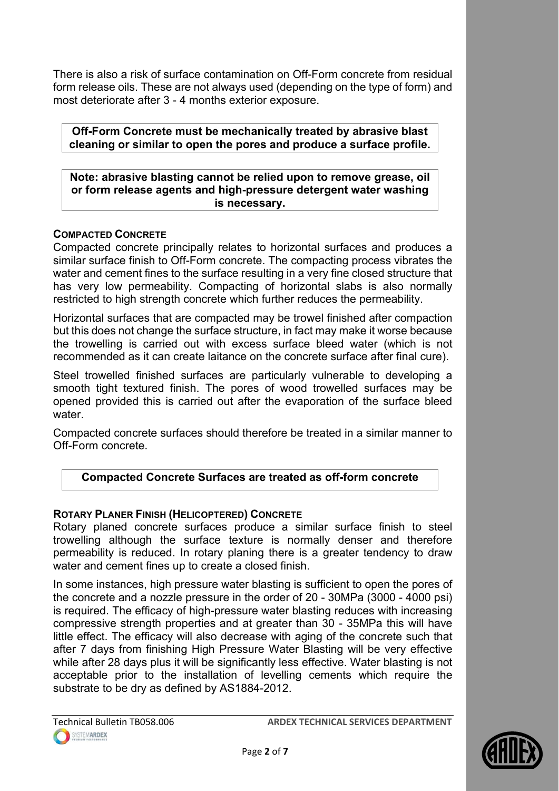There is also a risk of surface contamination on Off-Form concrete from residual form release oils. These are not always used (depending on the type of form) and most deteriorate after 3 - 4 months exterior exposure.

**Off-Form Concrete must be mechanically treated by abrasive blast cleaning or similar to open the pores and produce a surface profile.**

**Note: abrasive blasting cannot be relied upon to remove grease, oil or form release agents and high-pressure detergent water washing is necessary.**

# **COMPACTED CONCRETE**

Compacted concrete principally relates to horizontal surfaces and produces a similar surface finish to Off-Form concrete. The compacting process vibrates the water and cement fines to the surface resulting in a very fine closed structure that has very low permeability. Compacting of horizontal slabs is also normally restricted to high strength concrete which further reduces the permeability.

Horizontal surfaces that are compacted may be trowel finished after compaction but this does not change the surface structure, in fact may make it worse because the trowelling is carried out with excess surface bleed water (which is not recommended as it can create laitance on the concrete surface after final cure).

Steel trowelled finished surfaces are particularly vulnerable to developing a smooth tight textured finish. The pores of wood trowelled surfaces may be opened provided this is carried out after the evaporation of the surface bleed water.

Compacted concrete surfaces should therefore be treated in a similar manner to Off-Form concrete.

# **Compacted Concrete Surfaces are treated as off-form concrete**

# **ROTARY PLANER FINISH (HELICOPTERED) CONCRETE**

Rotary planed concrete surfaces produce a similar surface finish to steel trowelling although the surface texture is normally denser and therefore permeability is reduced. In rotary planing there is a greater tendency to draw water and cement fines up to create a closed finish.

In some instances, high pressure water blasting is sufficient to open the pores of the concrete and a nozzle pressure in the order of 20 - 30MPa (3000 - 4000 psi) is required. The efficacy of high-pressure water blasting reduces with increasing compressive strength properties and at greater than 30 - 35MPa this will have little effect. The efficacy will also decrease with aging of the concrete such that after 7 days from finishing High Pressure Water Blasting will be very effective while after 28 days plus it will be significantly less effective. Water blasting is not acceptable prior to the installation of levelling cements which require the substrate to be dry as defined by AS1884-2012.

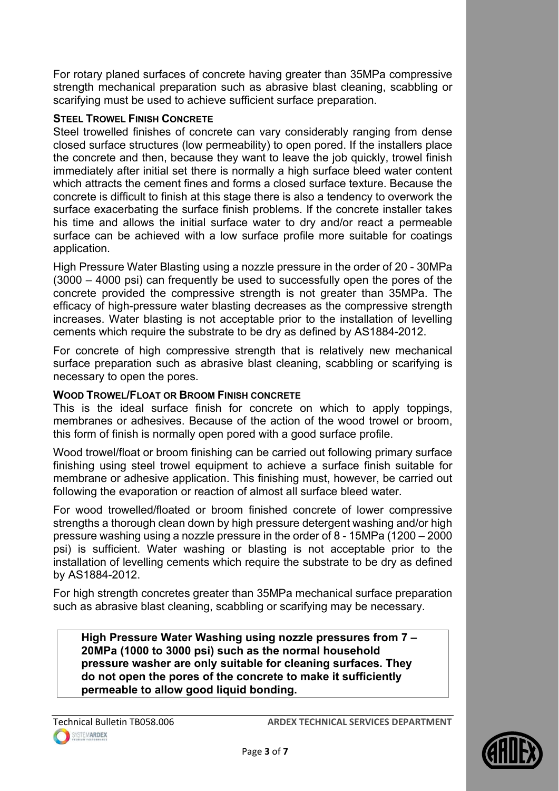For rotary planed surfaces of concrete having greater than 35MPa compressive strength mechanical preparation such as abrasive blast cleaning, scabbling or scarifying must be used to achieve sufficient surface preparation.

# **STEEL TROWEL FINISH CONCRETE**

Steel trowelled finishes of concrete can vary considerably ranging from dense closed surface structures (low permeability) to open pored. If the installers place the concrete and then, because they want to leave the job quickly, trowel finish immediately after initial set there is normally a high surface bleed water content which attracts the cement fines and forms a closed surface texture. Because the concrete is difficult to finish at this stage there is also a tendency to overwork the surface exacerbating the surface finish problems. If the concrete installer takes his time and allows the initial surface water to dry and/or react a permeable surface can be achieved with a low surface profile more suitable for coatings application.

High Pressure Water Blasting using a nozzle pressure in the order of 20 - 30MPa (3000 – 4000 psi) can frequently be used to successfully open the pores of the concrete provided the compressive strength is not greater than 35MPa. The efficacy of high-pressure water blasting decreases as the compressive strength increases. Water blasting is not acceptable prior to the installation of levelling cements which require the substrate to be dry as defined by AS1884-2012.

For concrete of high compressive strength that is relatively new mechanical surface preparation such as abrasive blast cleaning, scabbling or scarifying is necessary to open the pores.

# **WOOD TROWEL/FLOAT OR BROOM FINISH CONCRETE**

This is the ideal surface finish for concrete on which to apply toppings, membranes or adhesives. Because of the action of the wood trowel or broom, this form of finish is normally open pored with a good surface profile.

Wood trowel/float or broom finishing can be carried out following primary surface finishing using steel trowel equipment to achieve a surface finish suitable for membrane or adhesive application. This finishing must, however, be carried out following the evaporation or reaction of almost all surface bleed water.

For wood trowelled/floated or broom finished concrete of lower compressive strengths a thorough clean down by high pressure detergent washing and/or high pressure washing using a nozzle pressure in the order of 8 - 15MPa (1200 – 2000 psi) is sufficient. Water washing or blasting is not acceptable prior to the installation of levelling cements which require the substrate to be dry as defined by AS1884-2012.

For high strength concretes greater than 35MPa mechanical surface preparation such as abrasive blast cleaning, scabbling or scarifying may be necessary.

**High Pressure Water Washing using nozzle pressures from 7 – 20MPa (1000 to 3000 psi) such as the normal household pressure washer are only suitable for cleaning surfaces. They do not open the pores of the concrete to make it sufficiently permeable to allow good liquid bonding.**

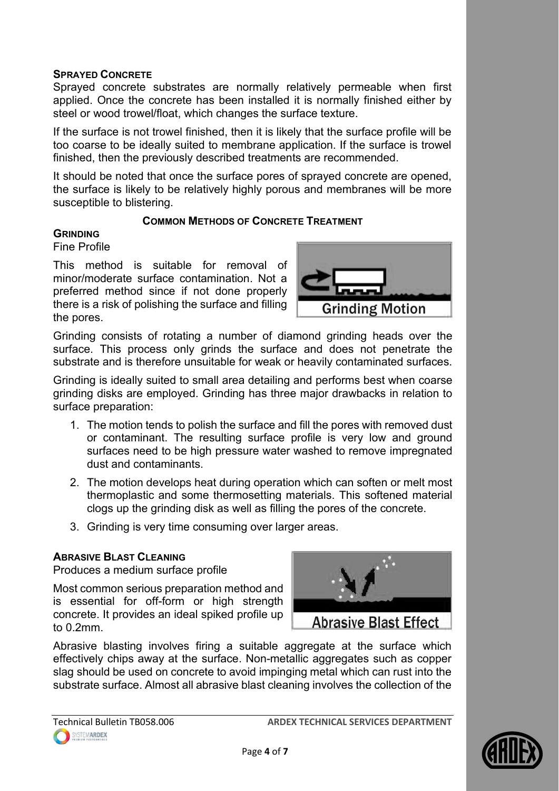# **SPRAYED CONCRETE**

Sprayed concrete substrates are normally relatively permeable when first applied. Once the concrete has been installed it is normally finished either by steel or wood trowel/float, which changes the surface texture.

If the surface is not trowel finished, then it is likely that the surface profile will be too coarse to be ideally suited to membrane application. If the surface is trowel finished, then the previously described treatments are recommended.

It should be noted that once the surface pores of sprayed concrete are opened, the surface is likely to be relatively highly porous and membranes will be more susceptible to blistering.

## **COMMON METHODS OF CONCRETE TREATMENT**

## **GRINDING**

Fine Profile

This method is suitable for removal of minor/moderate surface contamination. Not a preferred method since if not done properly there is a risk of polishing the surface and filling the pores.



Grinding consists of rotating a number of diamond grinding heads over the surface. This process only grinds the surface and does not penetrate the substrate and is therefore unsuitable for weak or heavily contaminated surfaces.

Grinding is ideally suited to small area detailing and performs best when coarse grinding disks are employed. Grinding has three major drawbacks in relation to surface preparation:

- 1. The motion tends to polish the surface and fill the pores with removed dust or contaminant. The resulting surface profile is very low and ground surfaces need to be high pressure water washed to remove impregnated dust and contaminants.
- 2. The motion develops heat during operation which can soften or melt most thermoplastic and some thermosetting materials. This softened material clogs up the grinding disk as well as filling the pores of the concrete.
- 3. Grinding is very time consuming over larger areas.

# **ABRASIVE BLAST CLEANING**

Produces a medium surface profile

Most common serious preparation method and is essential for off-form or high strength concrete. It provides an ideal spiked profile up to 0.2mm.



Abrasive blasting involves firing a suitable aggregate at the surface which effectively chips away at the surface. Non-metallic aggregates such as copper slag should be used on concrete to avoid impinging metal which can rust into the substrate surface. Almost all abrasive blast cleaning involves the collection of the

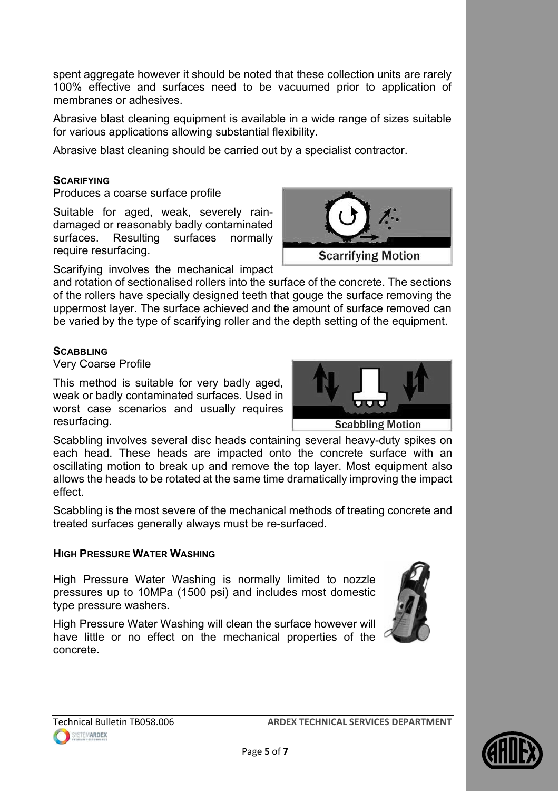spent aggregate however it should be noted that these collection units are rarely 100% effective and surfaces need to be vacuumed prior to application of membranes or adhesives.

Abrasive blast cleaning equipment is available in a wide range of sizes suitable for various applications allowing substantial flexibility.

Abrasive blast cleaning should be carried out by a specialist contractor.

# **SCARIFYING**

Produces a coarse surface profile

Suitable for aged, weak, severely raindamaged or reasonably badly contaminated surfaces. Resulting surfaces normally require resurfacing.

Scarifying involves the mechanical impact

and rotation of sectionalised rollers into the surface of the concrete. The sections of the rollers have specially designed teeth that gouge the surface removing the uppermost layer. The surface achieved and the amount of surface removed can be varied by the type of scarifying roller and the depth setting of the equipment.

## **SCABBLING**

Very Coarse Profile

This method is suitable for very badly aged, weak or badly contaminated surfaces. Used in worst case scenarios and usually requires resurfacing.



**Scarrifying Motion** 

Scabbling involves several disc heads containing several heavy-duty spikes on each head. These heads are impacted onto the concrete surface with an oscillating motion to break up and remove the top layer. Most equipment also allows the heads to be rotated at the same time dramatically improving the impact effect.

Scabbling is the most severe of the mechanical methods of treating concrete and treated surfaces generally always must be re-surfaced.

## **HIGH PRESSURE WATER WASHING**

High Pressure Water Washing is normally limited to nozzle pressures up to 10MPa (1500 psi) and includes most domestic type pressure washers.

High Pressure Water Washing will clean the surface however will have little or no effect on the mechanical properties of the concrete.

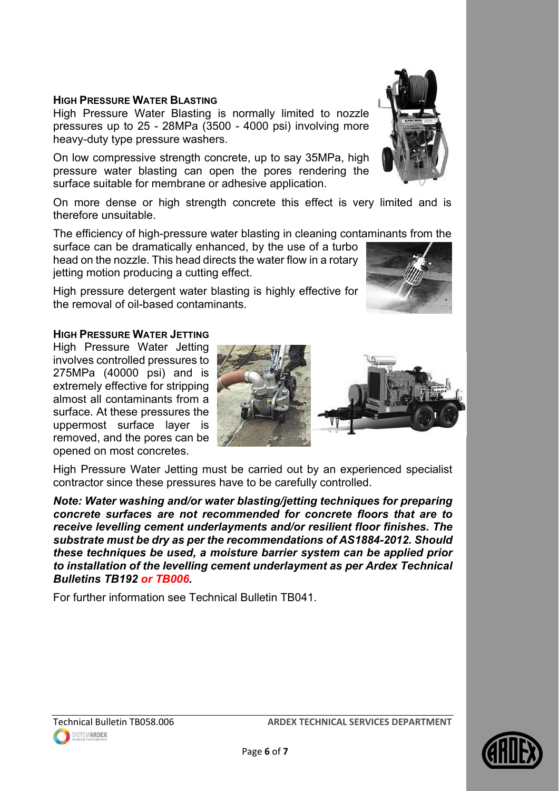## **HIGH PRESSURE WATER BLASTING**

High Pressure Water Blasting is normally limited to nozzle pressures up to 25 - 28MPa (3500 - 4000 psi) involving more heavy-duty type pressure washers.

On low compressive strength concrete, up to say 35MPa, high pressure water blasting can open the pores rendering the surface suitable for membrane or adhesive application.

On more dense or high strength concrete this effect is very limited and is therefore unsuitable.

The efficiency of high-pressure water blasting in cleaning contaminants from the

surface can be dramatically enhanced, by the use of a turbo head on the nozzle. This head directs the water flow in a rotary jetting motion producing a cutting effect.

High pressure detergent water blasting is highly effective for the removal of oil-based contaminants.

#### **HIGH PRESSURE WATER JETTING**

High Pressure Water Jetting involves controlled pressures to 275MPa (40000 psi) and is extremely effective for stripping almost all contaminants from a surface. At these pressures the uppermost surface layer is removed, and the pores can be opened on most concretes.



High Pressure Water Jetting must be carried out by an experienced specialist contractor since these pressures have to be carefully controlled.

*Note: Water washing and/or water blasting/jetting techniques for preparing concrete surfaces are not recommended for concrete floors that are to receive levelling cement underlayments and/or resilient floor finishes. The substrate must be dry as per the recommendations of AS1884-2012. Should these techniques be used, a moisture barrier system can be applied prior to installation of the levelling cement underlayment as per Ardex Technical Bulletins TB192 or TB006.* 

For further information see Technical Bulletin TB041.